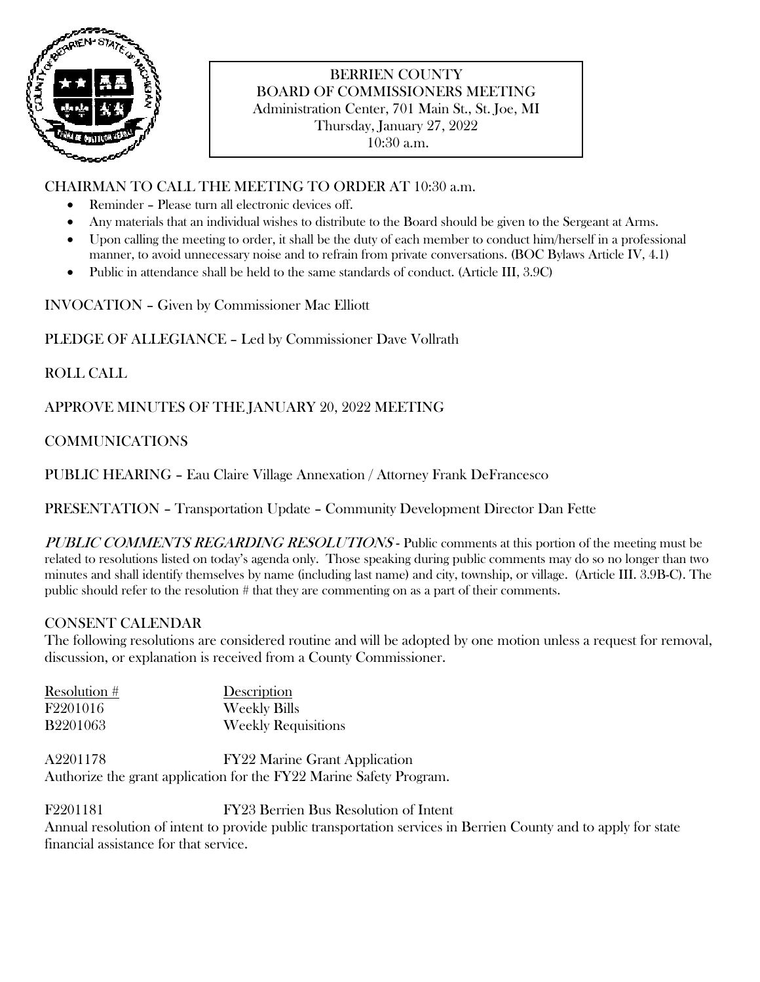

# BERRIEN COUNTY BOARD OF COMMISSIONERS MEETING Administration Center, 701 Main St., St. Joe, MI Thursday, January 27, 2022 10:30 a.m.

## CHAIRMAN TO CALL THE MEETING TO ORDER AT 10:30 a.m.

- Reminder Please turn all electronic devices off.
- Any materials that an individual wishes to distribute to the Board should be given to the Sergeant at Arms.
- Upon calling the meeting to order, it shall be the duty of each member to conduct him/herself in a professional manner, to avoid unnecessary noise and to refrain from private conversations. (BOC Bylaws Article IV, 4.1)
- Public in attendance shall be held to the same standards of conduct. (Article III, 3.9C)

INVOCATION – Given by Commissioner Mac Elliott

PLEDGE OF ALLEGIANCE – Led by Commissioner Dave Vollrath

ROLL CALL

APPROVE MINUTES OF THE JANUARY 20, 2022 MEETING

COMMUNICATIONS

PUBLIC HEARING – Eau Claire Village Annexation / Attorney Frank DeFrancesco

PRESENTATION – Transportation Update – Community Development Director Dan Fette

PUBLIC COMMENTS REGARDING RESOLUTIONS - Public comments at this portion of the meeting must be related to resolutions listed on today's agenda only. Those speaking during public comments may do so no longer than two minutes and shall identify themselves by name (including last name) and city, township, or village. (Article III. 3.9B-C). The public should refer to the resolution # that they are commenting on as a part of their comments.

# CONSENT CALENDAR

The following resolutions are considered routine and will be adopted by one motion unless a request for removal, discussion, or explanation is received from a County Commissioner.

Resolution # Description F2201016 Weekly Bills B2201063 Weekly Requisitions

A2201178 FY22 Marine Grant Application Authorize the grant application for the FY22 Marine Safety Program.

F2201181 FY23 Berrien Bus Resolution of Intent Annual resolution of intent to provide public transportation services in Berrien County and to apply for state financial assistance for that service.